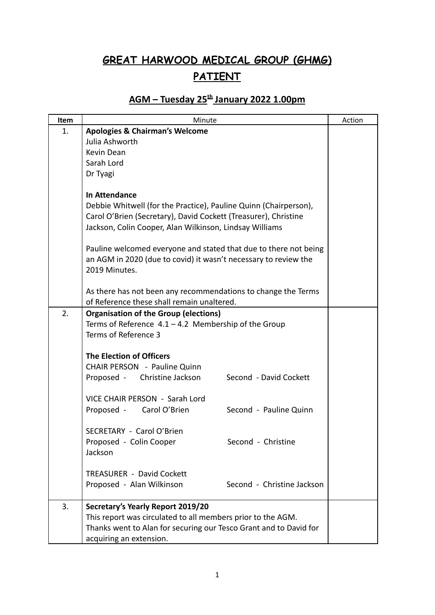## **GREAT HARWOOD MEDICAL GROUP (GHMG) PATIENT**

## **AGM – Tuesday 25 th January 2022 1.00pm**

| Item | Minute                                                            | Action |
|------|-------------------------------------------------------------------|--------|
| 1.   | <b>Apologies &amp; Chairman's Welcome</b>                         |        |
|      | Julia Ashworth                                                    |        |
|      | Kevin Dean                                                        |        |
|      | Sarah Lord                                                        |        |
|      | Dr Tyagi                                                          |        |
|      |                                                                   |        |
|      | In Attendance                                                     |        |
|      | Debbie Whitwell (for the Practice), Pauline Quinn (Chairperson),  |        |
|      | Carol O'Brien (Secretary), David Cockett (Treasurer), Christine   |        |
|      | Jackson, Colin Cooper, Alan Wilkinson, Lindsay Williams           |        |
|      |                                                                   |        |
|      | Pauline welcomed everyone and stated that due to there not being  |        |
|      | an AGM in 2020 (due to covid) it wasn't necessary to review the   |        |
|      | 2019 Minutes.                                                     |        |
|      |                                                                   |        |
|      | As there has not been any recommendations to change the Terms     |        |
|      | of Reference these shall remain unaltered.                        |        |
| 2.   | <b>Organisation of the Group (elections)</b>                      |        |
|      | Terms of Reference $4.1 - 4.2$ Membership of the Group            |        |
|      | Terms of Reference 3                                              |        |
|      |                                                                   |        |
|      | <b>The Election of Officers</b>                                   |        |
|      | <b>CHAIR PERSON</b> - Pauline Quinn                               |        |
|      | Proposed - Christine Jackson<br>Second - David Cockett            |        |
|      |                                                                   |        |
|      | VICE CHAIR PERSON - Sarah Lord                                    |        |
|      | Proposed - Carol O'Brien<br>Second - Pauline Quinn                |        |
|      | SECRETARY - Carol O'Brien                                         |        |
|      | Proposed - Colin Cooper<br>Second - Christine                     |        |
|      | Jackson                                                           |        |
|      |                                                                   |        |
|      | <b>TREASURER - David Cockett</b>                                  |        |
|      | Proposed - Alan Wilkinson<br>Second - Christine Jackson           |        |
|      |                                                                   |        |
| 3.   | Secretary's Yearly Report 2019/20                                 |        |
|      | This report was circulated to all members prior to the AGM.       |        |
|      | Thanks went to Alan for securing our Tesco Grant and to David for |        |
|      | acquiring an extension.                                           |        |